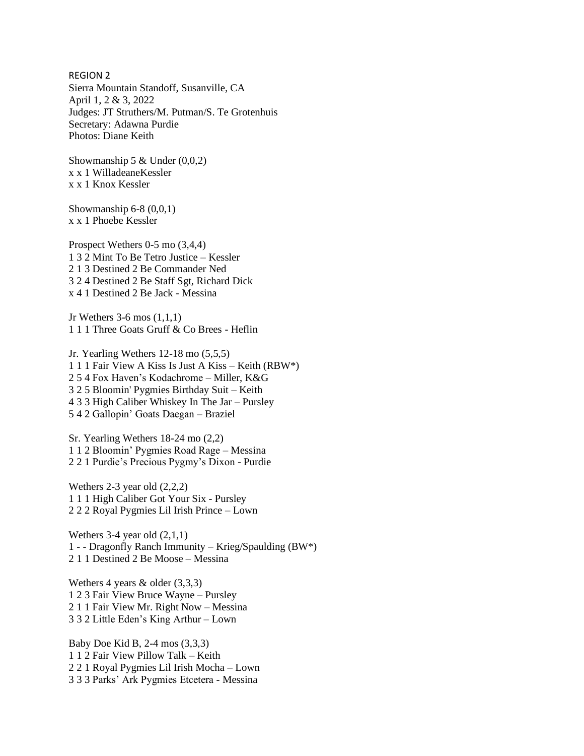REGION 2 Sierra Mountain Standoff, Susanville, CA April 1, 2 & 3, 2022 Judges: JT Struthers/M. Putman/S. Te Grotenhuis Secretary: Adawna Purdie Photos: Diane Keith

Showmanship 5  $&$  Under (0,0,2) x x 1 WilladeaneKessler x x 1 Knox Kessler

Showmanship  $6-8$   $(0,0,1)$ x x 1 Phoebe Kessler

Prospect Wethers 0-5 mo (3,4,4) 1 3 2 Mint To Be Tetro Justice – Kessler 2 1 3 Destined 2 Be Commander Ned 3 2 4 Destined 2 Be Staff Sgt, Richard Dick x 4 1 Destined 2 Be Jack - Messina

Jr Wethers 3-6 mos (1,1,1) 1 1 1 Three Goats Gruff & Co Brees - Heflin

Jr. Yearling Wethers 12-18 mo (5,5,5) 1 1 1 Fair View A Kiss Is Just A Kiss – Keith (RBW\*) 2 5 4 Fox Haven's Kodachrome – Miller, K&G 3 2 5 Bloomin' Pygmies Birthday Suit – Keith 4 3 3 High Caliber Whiskey In The Jar – Pursley 5 4 2 Gallopin' Goats Daegan – Braziel

Sr. Yearling Wethers 18-24 mo (2,2) 1 1 2 Bloomin' Pygmies Road Rage – Messina 2 2 1 Purdie's Precious Pygmy's Dixon - Purdie

Wethers 2-3 year old (2,2,2) 1 1 1 High Caliber Got Your Six - Pursley 2 2 2 Royal Pygmies Lil Irish Prince – Lown

Wethers  $3-4$  year old  $(2,1,1)$ 1 - - Dragonfly Ranch Immunity – Krieg/Spaulding (BW\*) 2 1 1 Destined 2 Be Moose – Messina

Wethers 4 years  $\&$  older (3,3,3) 1 2 3 Fair View Bruce Wayne – Pursley 2 1 1 Fair View Mr. Right Now – Messina 3 3 2 Little Eden's King Arthur – Lown

Baby Doe Kid B, 2-4 mos (3,3,3) 1 1 2 Fair View Pillow Talk – Keith 2 2 1 Royal Pygmies Lil Irish Mocha – Lown 3 3 3 Parks' Ark Pygmies Etcetera - Messina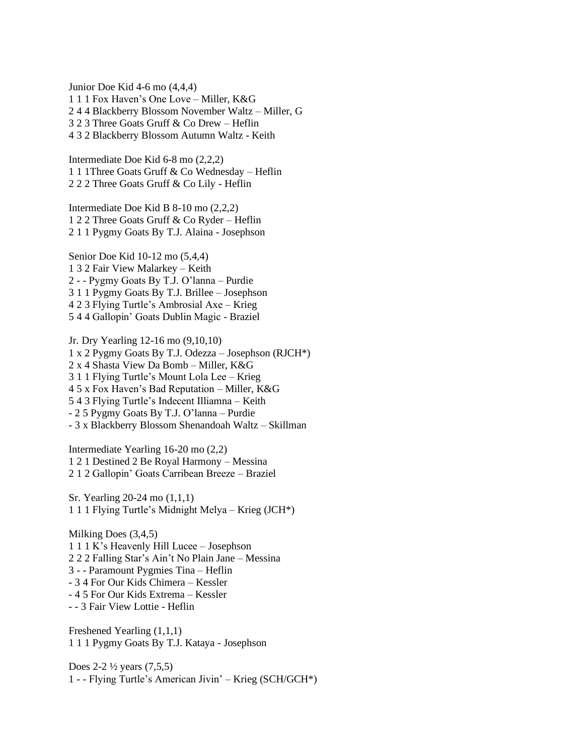Junior Doe Kid 4-6 mo (4,4,4) 1 1 1 Fox Haven's One Love – Miller, K&G 2 4 4 Blackberry Blossom November Waltz – Miller, G 3 2 3 Three Goats Gruff & Co Drew – Heflin 4 3 2 Blackberry Blossom Autumn Waltz - Keith

Intermediate Doe Kid 6-8 mo (2,2,2) 1 1 1Three Goats Gruff & Co Wednesday – Heflin 2 2 2 Three Goats Gruff & Co Lily - Heflin

Intermediate Doe Kid B 8-10 mo (2,2,2) 1 2 2 Three Goats Gruff & Co Ryder – Heflin 2 1 1 Pygmy Goats By T.J. Alaina - Josephson

Senior Doe Kid 10-12 mo (5,4,4) 1 3 2 Fair View Malarkey – Keith 2 - - Pygmy Goats By T.J. O'lanna – Purdie 3 1 1 Pygmy Goats By T.J. Brillee – Josephson 4 2 3 Flying Turtle's Ambrosial Axe – Krieg 5 4 4 Gallopin' Goats Dublin Magic - Braziel

Jr. Dry Yearling 12-16 mo (9,10,10) 1 x 2 Pygmy Goats By T.J. Odezza – Josephson (RJCH\*) 2 x 4 Shasta View Da Bomb – Miller, K&G 3 1 1 Flying Turtle's Mount Lola Lee – Krieg 4 5 x Fox Haven's Bad Reputation – Miller, K&G 5 4 3 Flying Turtle's Indecent Illiamna – Keith - 2 5 Pygmy Goats By T.J. O'lanna – Purdie - 3 x Blackberry Blossom Shenandoah Waltz – Skillman

Intermediate Yearling 16-20 mo (2,2) 1 2 1 Destined 2 Be Royal Harmony – Messina 2 1 2 Gallopin' Goats Carribean Breeze – Braziel

Sr. Yearling 20-24 mo (1,1,1) 1 1 1 Flying Turtle's Midnight Melya – Krieg (JCH\*)

Milking Does (3,4,5) 1 1 1 K's Heavenly Hill Lucee – Josephson 2 2 2 Falling Star's Ain't No Plain Jane – Messina 3 - - Paramount Pygmies Tina – Heflin - 3 4 For Our Kids Chimera – Kessler - 4 5 For Our Kids Extrema – Kessler - - 3 Fair View Lottie - Heflin

Freshened Yearling (1,1,1) 1 1 1 Pygmy Goats By T.J. Kataya - Josephson

Does 2-2 ½ years (7,5,5) 1 - - Flying Turtle's American Jivin' – Krieg (SCH/GCH\*)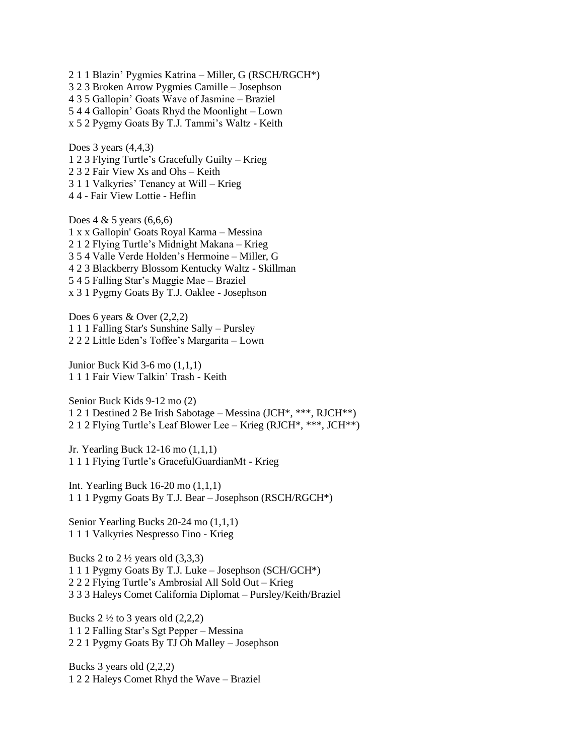2 1 1 Blazin' Pygmies Katrina – Miller, G (RSCH/RGCH\*) 3 2 3 Broken Arrow Pygmies Camille – Josephson 4 3 5 Gallopin' Goats Wave of Jasmine – Braziel 5 4 4 Gallopin' Goats Rhyd the Moonlight – Lown x 5 2 Pygmy Goats By T.J. Tammi's Waltz - Keith

Does 3 years (4,4,3) 1 2 3 Flying Turtle's Gracefully Guilty – Krieg 2 3 2 Fair View Xs and Ohs – Keith 3 1 1 Valkyries' Tenancy at Will – Krieg 4 4 - Fair View Lottie - Heflin

Does 4 & 5 years (6,6,6) 1 x x Gallopin' Goats Royal Karma – Messina 2 1 2 Flying Turtle's Midnight Makana – Krieg 3 5 4 Valle Verde Holden's Hermoine – Miller, G 4 2 3 Blackberry Blossom Kentucky Waltz - Skillman 5 4 5 Falling Star's Maggie Mae – Braziel x 3 1 Pygmy Goats By T.J. Oaklee - Josephson

Does 6 years & Over (2,2,2) 1 1 1 Falling Star's Sunshine Sally – Pursley 2 2 2 Little Eden's Toffee's Margarita – Lown

Junior Buck Kid 3-6 mo (1,1,1) 1 1 1 Fair View Talkin' Trash - Keith

Senior Buck Kids 9-12 mo (2) 1 2 1 Destined 2 Be Irish Sabotage – Messina (JCH\*, \*\*\*, RJCH\*\*) 2 1 2 Flying Turtle's Leaf Blower Lee – Krieg (RJCH\*, \*\*\*, JCH\*\*)

Jr. Yearling Buck 12-16 mo (1,1,1) 1 1 1 Flying Turtle's GracefulGuardianMt - Krieg

Int. Yearling Buck 16-20 mo (1,1,1) 1 1 1 Pygmy Goats By T.J. Bear – Josephson (RSCH/RGCH\*)

Senior Yearling Bucks 20-24 mo (1,1,1) 1 1 1 Valkyries Nespresso Fino - Krieg

Bucks 2 to  $2\frac{1}{2}$  years old  $(3,3,3)$ 1 1 1 Pygmy Goats By T.J. Luke – Josephson (SCH/GCH\*) 2 2 2 Flying Turtle's Ambrosial All Sold Out – Krieg 3 3 3 Haleys Comet California Diplomat – Pursley/Keith/Braziel

Bucks 2  $\frac{1}{2}$  to 3 years old (2,2,2) 1 1 2 Falling Star's Sgt Pepper – Messina 2 2 1 Pygmy Goats By TJ Oh Malley – Josephson

Bucks 3 years old (2,2,2) 1 2 2 Haleys Comet Rhyd the Wave – Braziel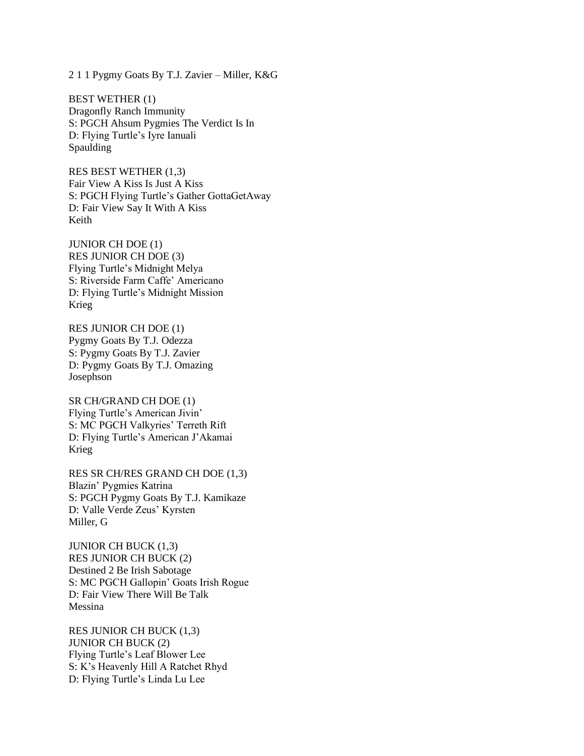2 1 1 Pygmy Goats By T.J. Zavier – Miller, K&G

BEST WETHER (1) Dragonfly Ranch Immunity S: PGCH Ahsum Pygmies The Verdict Is In D: Flying Turtle's Iyre Ianuali Spaulding

RES BEST WETHER (1,3) Fair View A Kiss Is Just A Kiss S: PGCH Flying Turtle's Gather GottaGetAway D: Fair View Say It With A Kiss Keith

JUNIOR CH DOE (1) RES JUNIOR CH DOE (3) Flying Turtle's Midnight Melya S: Riverside Farm Caffe' Americano D: Flying Turtle's Midnight Mission Krieg

RES JUNIOR CH DOE (1) Pygmy Goats By T.J. Odezza S: Pygmy Goats By T.J. Zavier D: Pygmy Goats By T.J. Omazing Josephson

SR CH/GRAND CH DOE (1) Flying Turtle's American Jivin' S: MC PGCH Valkyries' Terreth Rift D: Flying Turtle's American J'Akamai Krieg

RES SR CH/RES GRAND CH DOE (1,3) Blazin' Pygmies Katrina S: PGCH Pygmy Goats By T.J. Kamikaze D: Valle Verde Zeus' Kyrsten Miller, G

JUNIOR CH BUCK (1,3) RES JUNIOR CH BUCK (2) Destined 2 Be Irish Sabotage S: MC PGCH Gallopin' Goats Irish Rogue D: Fair View There Will Be Talk Messina

RES JUNIOR CH BUCK (1,3) JUNIOR CH BUCK (2) Flying Turtle's Leaf Blower Lee S: K's Heavenly Hill A Ratchet Rhyd D: Flying Turtle's Linda Lu Lee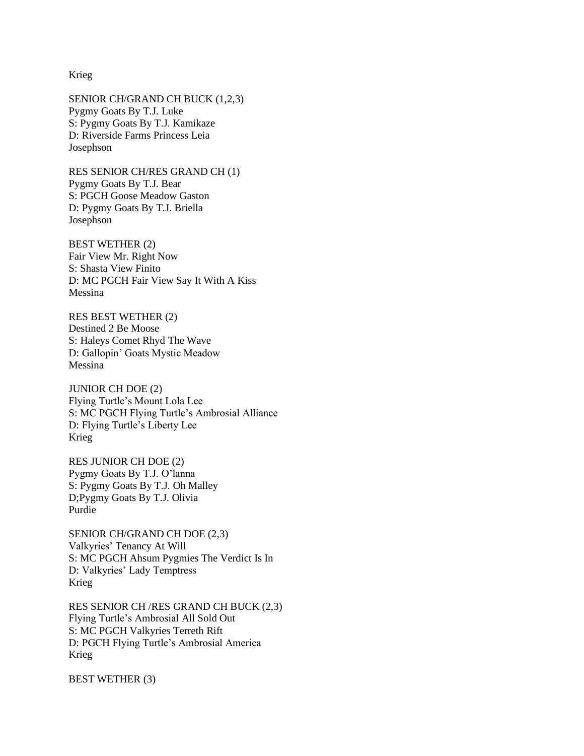Krieg

SENIOR CH/GRAND CH BUCK (1,2,3) Pygmy Goats By T.J. Luke S: Pygmy Goats By T.J. Kamikaze D: Riverside Farms Princess Leia Josephson

RES SENIOR CH/RES GRAND CH (1) Pygmy Goats By T.J. Bear S: PGCH Goose Meadow Gaston D: Pygmy Goats By T.J. Briella Josephson

BEST WETHER (2) Fair View Mr. Right Now S: Shasta View Finito D: MC PGCH Fair View Say It With A Kiss Messina

RES BEST WETHER (2) Destined 2 Be Moose S: Haleys Comet Rhyd The Wave D: Gallopin' Goats Mystic Meadow Messina

JUNIOR CH DOE (2) Flying Turtle's Mount Lola Lee S: MC PGCH Flying Turtle's Ambrosial Alliance D: Flying Turtle's Liberty Lee Krieg

RES JUNIOR CH DOE (2) Pygmy Goats By T.J. O'lanna S: Pygmy Goats By T.J. Oh Malley D;Pygmy Goats By T.J. Olivia Purdie

SENIOR CH/GRAND CH DOE (2,3) Valkyries' Tenancy At Will S: MC PGCH Ahsum Pygmies The Verdict Is In D: Valkyries' Lady Temptress Krieg

RES SENIOR CH /RES GRAND CH BUCK (2,3) Flying Turtle's Ambrosial All Sold Out S: MC PGCH Valkyries Terreth Rift D: PGCH Flying Turtle's Ambrosial America Krieg

BEST WETHER (3)